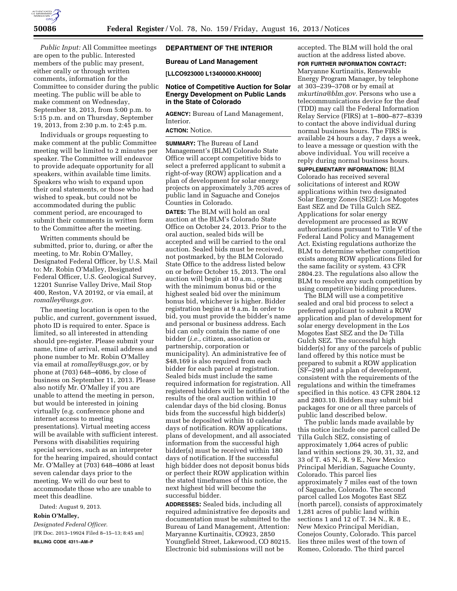

*Public Input:* All Committee meetings are open to the public. Interested members of the public may present, either orally or through written comments, information for the Committee to consider during the public meeting. The public will be able to make comment on Wednesday, September 18, 2013, from 5:00 p.m. to 5:15 p.m. and on Thursday, September 19, 2013, from 2:30 p.m. to 2:45 p.m.

Individuals or groups requesting to make comment at the public Committee meeting will be limited to 2 minutes per speaker. The Committee will endeavor to provide adequate opportunity for all speakers, within available time limits. Speakers who wish to expand upon their oral statements, or those who had wished to speak, but could not be accommodated during the public comment period, are encouraged to submit their comments in written form to the Committee after the meeting.

Written comments should be submitted, prior to, during, or after the meeting, to Mr. Robin O'Malley, Designated Federal Officer, by U.S. Mail to: Mr. Robin O'Malley, Designated Federal Officer, U.S. Geological Survey, 12201 Sunrise Valley Drive, Mail Stop 400, Reston, VA 20192, or via email, at *[romalley@usgs.gov.](mailto:romalley@usgs.gov)* 

The meeting location is open to the public, and current, government issued, photo ID is required to enter. Space is limited, so all interested in attending should pre-register. Please submit your name, time of arrival, email address and phone number to Mr. Robin O'Malley via email at *[romalley@usgs.gov,](mailto:romalley@usgs.gov)* or by phone at (703) 648–4086, by close of business on September 11, 2013. Please also notify Mr. O'Malley if you are unable to attend the meeting in person, but would be interested in joining virtually (e.g. conference phone and internet access to meeting presentations). Virtual meeting access will be available with sufficient interest. Persons with disabilities requiring special services, such as an interpreter for the hearing impaired, should contact Mr. O'Malley at (703) 648–4086 at least seven calendar days prior to the meeting. We will do our best to accommodate those who are unable to meet this deadline.

Dated: August 9, 2013.

### **Robin O'Malley,**

*Designated Federal Officer.*  [FR Doc. 2013–19924 Filed 8–15–13; 8:45 am] **BILLING CODE 4311–AM–P** 

# **DEPARTMENT OF THE INTERIOR**

### **Bureau of Land Management**

**[LLCO923000 L13400000.KH0000]** 

## **Notice of Competitive Auction for Solar Energy Development on Public Lands in the State of Colorado**

**AGENCY:** Bureau of Land Management, Interior.

# **ACTION:** Notice.

**SUMMARY:** The Bureau of Land Management's (BLM) Colorado State Office will accept competitive bids to select a preferred applicant to submit a right-of-way (ROW) application and a plan of development for solar energy projects on approximately 3,705 acres of public land in Saguache and Conejos Counties in Colorado.

**DATES:** The BLM will hold an oral auction at the BLM's Colorado State Office on October 24, 2013. Prior to the oral auction, sealed bids will be accepted and will be carried to the oral auction. Sealed bids must be received, not postmarked, by the BLM Colorado State Office to the address listed below on or before October 15, 2013. The oral auction will begin at 10 a.m., opening with the minimum bonus bid or the highest sealed bid over the minimum bonus bid, whichever is higher. Bidder registration begins at 9 a.m. In order to bid, you must provide the bidder's name and personal or business address. Each bid can only contain the name of one bidder (*i.e.,* citizen, association or partnership, corporation or municipality). An administrative fee of \$48,169 is also required from each bidder for each parcel at registration. Sealed bids must include the same required information for registration. All registered bidders will be notified of the results of the oral auction within 10 calendar days of the bid closing. Bonus bids from the successful high bidder(s) must be deposited within 10 calendar days of notification. ROW applications, plans of development, and all associated information from the successful high bidder(s) must be received within 180 days of notification. If the successful high bidder does not deposit bonus bids or perfect their ROW application within the stated timeframes of this notice, the next highest bid will become the successful bidder.

**ADDRESSES:** Sealed bids, including all required administrative fee deposits and documentation must be submitted to the Bureau of Land Management, Attention: Maryanne Kurtinaitis, CO923, 2850 Youngfield Street, Lakewood, CO 80215. Electronic bid submissions will not be

accepted. The BLM will hold the oral auction at the address listed above. **FOR FURTHER INFORMATION CONTACT:**  Maryanne Kurtinaitis, Renewable Energy Program Manager, by telephone at 303–239–3708 or by email at *[mkurtina@blm.gov.](mailto:mkurtina@blm.gov)* Persons who use a telecommunications device for the deaf (TDD) may call the Federal Information Relay Service (FIRS) at 1–800–877–8339 to contact the above individual during normal business hours. The FIRS is available 24 hours a day, 7 days a week, to leave a message or question with the above individual. You will receive a reply during normal business hours.

**SUPPLEMENTARY INFORMATION:** BLM Colorado has received several solicitations of interest and ROW applications within two designated Solar Energy Zones (SEZ): Los Mogotes East SEZ and De Tilla Gulch SEZ. Applications for solar energy development are processed as ROW authorizations pursuant to Title V of the Federal Land Policy and Management Act. Existing regulations authorize the BLM to determine whether competition exists among ROW applications filed for the same facility or system. 43 CFR 2804.23. The regulations also allow the BLM to resolve any such competition by using competitive bidding procedures.

The BLM will use a competitive sealed and oral bid process to select a preferred applicant to submit a ROW application and plan of development for solar energy development in the Los Mogotes East SEZ and the De Tilla Gulch SEZ. The successful high bidder(s) for any of the parcels of public land offered by this notice must be prepared to submit a ROW application (SF–299) and a plan of development, consistent with the requirements of the regulations and within the timeframes specified in this notice. 43 CFR 2804.12 and 2803.10. Bidders may submit bid packages for one or all three parcels of public land described below.

The public lands made available by this notice include one parcel called De Tilla Gulch SEZ, consisting of approximately 1,064 acres of public land within sections 29, 30, 31, 32, and 33 of T. 45 N., R. 9 E., New Mexico Principal Meridian, Saguache County, Colorado. This parcel lies approximately 7 miles east of the town of Saguache, Colorado. The second parcel called Los Mogotes East SEZ (north parcel), consists of approximately 1,281 acres of public land within sections 1 and 12 of T. 34 N., R. 8 E., New Mexico Principal Meridian, Conejos County, Colorado. This parcel lies three miles west of the town of Romeo, Colorado. The third parcel